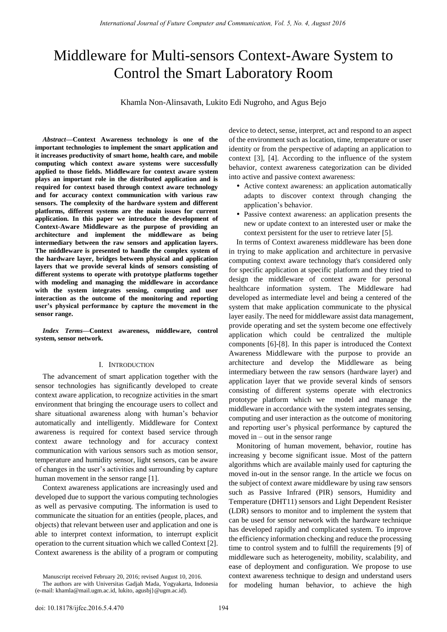# Middleware for Multi-sensors Context-Aware System to Control the Smart Laboratory Room

Khamla Non-Alinsavath, Lukito Edi Nugroho, and Agus Bejo

*Abstract—***Context Awareness technology is one of the important technologies to implement the smart application and it increases productivity of smart home, health care, and mobile computing which context aware systems were successfully applied to those fields. Middleware for context aware system plays an important role in the distributed application and is required for context based through context aware technology and for accuracy context communication with various raw sensors. The complexity of the hardware system and different platforms, different systems are the main issues for current application. In this paper we introduce the development of Context-Aware Middleware as the purpose of providing an architecture and implement the middleware as being intermediary between the raw sensors and application layers. The middleware is presented to handle the complex system of the hardware layer, bridges between physical and application layers that we provide several kinds of sensors consisting of different systems to operate with prototype platforms together with modeling and managing the middleware in accordance with the system integrates sensing, computing and user interaction as the outcome of the monitoring and reporting user's physical performance by capture the movement in the sensor range.**

*Index Terms***—Context awareness, middleware, control system, sensor network.**

## I. INTRODUCTION

The advancement of smart application together with the sensor technologies has significantly developed to create context aware application, to recognize activities in the smart environment that bringing the encourage users to collect and share situational awareness along with human's behavior automatically and intelligently. Middleware for Context awareness is required for context based service through context aware technology and for accuracy context communication with various sensors such as motion sensor, temperature and humidity sensor, light sensors, can be aware of changes in the user's activities and surrounding by capture human movement in the sensor range [1].

Context awareness applications are increasingly used and developed due to support the various computing technologies as well as pervasive computing. The information is used to communicate the situation for an entities (people, places, and objects) that relevant between user and application and one is able to interpret context information, to interrupt explicit operation to the current situation which we called Context [2]. Context awareness is the ability of a program or computing

Manuscript received February 20, 2016; revised August 10, 2016.

device to detect, sense, interpret, act and respond to an aspect of the environment such as location, time, temperature or user identity or from the perspective of adapting an application to context [3], [4]. According to the influence of the system behavior, context awareness categorization can be divided into active and passive context awareness:

- Active context awareness: an application automatically adapts to discover context through changing the application's behavior.
- Passive context awareness: an application presents the new or update context to an interested user or make the context persistent for the user to retrieve later [5].

In terms of Context awareness middleware has been done in trying to make application and architecture in pervasive computing context aware technology that's considered only for specific application at specific platform and they tried to design the middleware of context aware for personal healthcare information system. The Middleware had developed as intermediate level and being a centered of the system that make application communicate to the physical layer easily. The need for middleware assist data management, provide operating and set the system become one effectively application which could be centralized the multiple components [6]-[8]. In this paper is introduced the Context Awareness Middleware with the purpose to provide an architecture and develop the Middleware as being intermediary between the raw sensors (hardware layer) and application layer that we provide several kinds of sensors consisting of different systems operate with electronics prototype platform which we model and manage the middleware in accordance with the system integrates sensing, computing and user interaction as the outcome of monitoring and reporting user's physical performance by captured the moved in – out in the sensor range

Monitoring of human movement, behavior, routine has increasing y become significant issue. Most of the pattern algorithms which are available mainly used for capturing the moved in-out in the sensor range. In the article we focus on the subject of context aware middleware by using raw sensors such as Passive Infrared (PIR) sensors, Humidity and Temperature (DHT11) sensors and Light Dependent Resister (LDR) sensors to monitor and to implement the system that can be used for sensor network with the hardware technique has developed rapidly and complicated system. To improve the efficiency information checking and reduce the processing time to control system and to fulfill the requirements [9] of middleware such as heterogeneity, mobility, scalability, and ease of deployment and configuration. We propose to use context awareness technique to design and understand users for modeling human behavior, to achieve the high

The authors are with Universitas Gadjah Mada, Yogyakarta, Indonesia (e-mail[: khamla@mail.ugm.ac.id,](mailto:khamla@mail.ugm.ac.id) lukito, agusbj}@ugm.ac.id).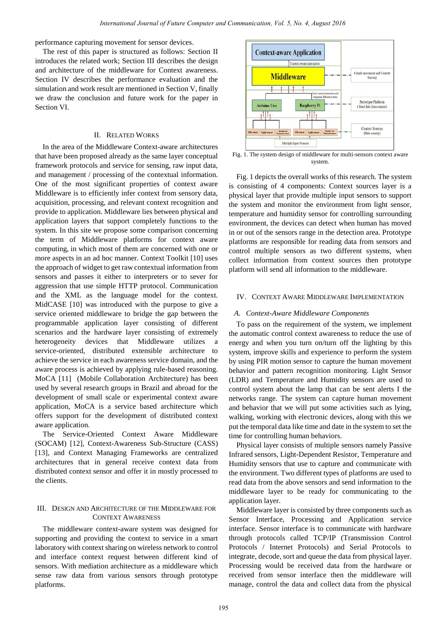performance capturing movement for sensor devices.

The rest of this paper is structured as follows: Section II introduces the related work; Section III describes the design and architecture of the middleware for Context awareness. Section IV describes the performance evaluation and the simulation and work result are mentioned in Section V, finally we draw the conclusion and future work for the paper in Section VI.

## II. RELATED WORKS

In the area of the Middleware Context-aware architectures that have been proposed already as the same layer conceptual framework protocols and service for sensing, raw input data, and management / processing of the contextual information. One of the most significant properties of context aware Middleware is to efficiently infer context from sensory data, acquisition, processing, and relevant context recognition and provide to application. Middleware lies between physical and application layers that support completely functions to the system. In this site we propose some comparison concerning the term of Middleware platforms for context aware computing, in which most of them are concerned with one or more aspects in an ad hoc manner. Context Toolkit [10] uses the approach of widget to get raw contextual information from sensors and passes it either to interpreters or to sever for aggression that use simple HTTP protocol. Communication and the XML as the language model for the context. MidCASE [10] was introduced with the purpose to give a service oriented middleware to bridge the gap between the programmable application layer consisting of different scenarios and the hardware layer consisting of extremely heterogeneity devices that Middleware utilizes a service-oriented, distributed extensible architecture to achieve the service in each awareness service domain, and the aware process is achieved by applying rule-based reasoning. MoCA [11] (Mobile Collaboration Architecture) has been used by several research groups in Brazil and abroad for the development of small scale or experimental context aware application, MoCA is a service based architecture which offers support for the development of distributed context aware application.

The Service-Oriented Context Aware Middleware (SOCAM) [12], Context-Awareness Sub-Structure (CASS) [13], and Context Managing Frameworks are centralized architectures that in general receive context data from distributed context sensor and offer it in mostly processed to the clients.

## III. DESIGN AND ARCHITECTURE OF THE MIDDLEWARE FOR CONTEXT AWARENESS

The middleware context-aware system was designed for supporting and providing the context to service in a smart laboratory with context sharing on wireless network to control and interface context request between different kind of sensors. With mediation architecture as a middleware which sense raw data from various sensors through prototype platforms.



Fig. 1. The system design of middleware for multi-sensors context aware system.

Fig. 1 depicts the overall works of this research. The system is consisting of 4 components: Context sources layer is a physical layer that provide multiple input sensors to support the system and monitor the environment from light sensor, temperature and humidity sensor for controlling surrounding environment, the devices can detect when human has moved in or out of the sensors range in the detection area. Prototype platforms are responsible for reading data from sensors and control multiple sensors as two different systems, when collect information from context sources then prototype platform will send all information to the middleware.

### IV. CONTEXT AWARE MIDDLEWARE IMPLEMENTATION

#### *A. Context-Aware Middleware Components*

To pass on the requirement of the system, we implement the automatic control context awareness to reduce the use of energy and when you turn on/turn off the lighting by this system, improve skills and experience to perform the system by using PIR motion sensor to capture the human movement behavior and pattern recognition monitoring. Light Sensor (LDR) and Temperature and Humidity sensors are used to control system about the lamp that can be sent alerts I the networks range. The system can capture human movement and behavior that we will put some activities such as lying, walking, working with electronic devices, along with this we put the temporal data like time and date in the system to set the time for controlling human behaviors.

Physical layer consists of multiple sensors namely Passive Infrared sensors, Light-Dependent Resistor, Temperature and Humidity sensors that use to capture and communicate with the environment. Two different types of platforms are used to read data from the above sensors and send information to the middleware layer to be ready for communicating to the application layer.

Middleware layer is consisted by three components such as Sensor Interface, Processing and Application service interface. Sensor interface is to communicate with hardware through protocols called TCP/IP (Transmission Control Protocols / Internet Protocols) and Serial Protocols to integrate, decode, sort and queue the data from physical layer. Processing would be received data from the hardware or received from sensor interface then the middleware will manage, control the data and collect data from the physical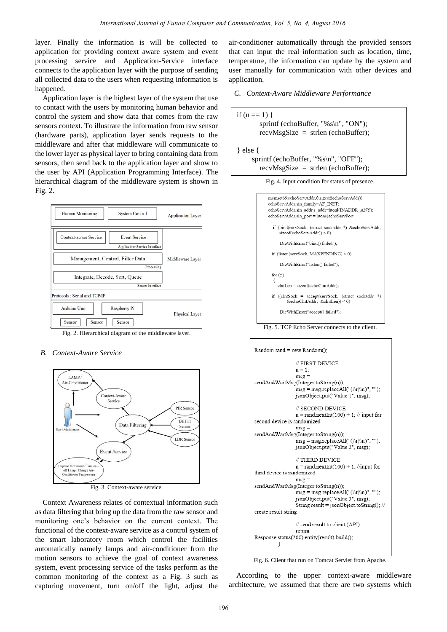j

layer. Finally the information is will be collected to application for providing context aware system and event processing service and Application-Service interface connects to the application layer with the purpose of sending all collected data to the users when requesting information is happened.

Application layer is the highest layer of the system that use to contact with the users by monitoring human behavior and control the system and show data that comes from the raw sensors context. To illustrate the information from raw sensor (hardware parts), application layer sends requests to the middleware and after that middleware will communicate to the lower layer as physical layer to bring containing data from sensors, then send back to the application layer and show to the user by API (Application Programming Interface). The hierarchical diagram of the middleware system is shown in Fig. 2.



Fig. 2. Hierarchical diagram of the middleware layer.

#### *B. Context-Aware Service*



Fig. 3. Context-aware service.

Context Awareness relates of contextual information such as data filtering that bring up the data from the raw sensor and monitoring one's behavior on the current context. The functional of the context-aware service as a control system of the smart laboratory room which control the facilities automatically namely lamps and air-conditioner from the motion sensors to achieve the goal of context awareness system, event processing service of the tasks perform as the common monitoring of the context as a Fig. 3 such as capturing movement, turn on/off the light, adjust the air-conditioner automatically through the provided sensors that can input the real information such as location, time, temperature, the information can update by the system and user manually for communication with other devices and application.

*C. Context-Aware Middleware Performance*



 sprintf (echoBuffer, "%s\n", "OFF"); recvMsgSize = strlen (echoBuffer);





Fig. 5. TCP Echo Server connects to the client.



Fig. 6. Client that run on Tomcat Servlet from Apache.

According to the upper context-aware middleware architecture, we assumed that there are two systems which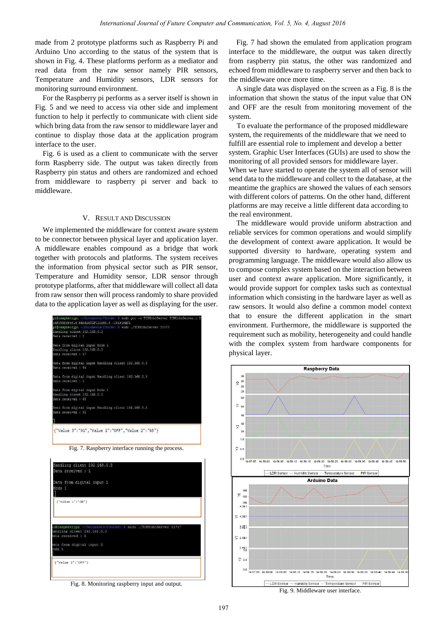made from 2 prototype platforms such as Raspberry Pi and Arduino Uno according to the status of the system that is shown in Fig. 4. These platforms perform as a mediator and read data from the raw sensor namely PIR sensors, Temperature and Humidity sensors, LDR sensors for monitoring surround environment.

For the Raspberry pi performs as a server itself is shown in Fig. 5 and we need to access via other side and implement function to help it perfectly to communicate with client side which bring data from the raw sensor to middleware layer and continue to display those data at the application program interface to the user.

Fig. 6 is used as a client to communicate with the server form Raspberry side. The output was taken directly from Raspberry pin status and others are randomized and echoed from middleware to raspberry pi server and back to middleware.

## V. RESULT AND DISCUSSION

We implemented the middleware for context aware system to be connector between physical layer and application layer. A middleware enables compound as a bridge that work together with protocols and platforms. The system receives the information from physical sector such as PIR sensor, Temperature and Humidity sensor, LDR sensor through prototype platforms, after that middleware will collect all data from raw sensor then will process randomly to share provided data to the application layer as well as displaying for the user.



| Data received : 1                                                                                                                                                                  | Handling client 192.168.0.3 |  |  |
|------------------------------------------------------------------------------------------------------------------------------------------------------------------------------------|-----------------------------|--|--|
|                                                                                                                                                                                    |                             |  |  |
| Data from digital input 1<br>Mode 1                                                                                                                                                |                             |  |  |
|                                                                                                                                                                                    |                             |  |  |
|                                                                                                                                                                                    |                             |  |  |
| {"Value 1":"ON"}                                                                                                                                                                   |                             |  |  |
|                                                                                                                                                                                    |                             |  |  |
|                                                                                                                                                                                    |                             |  |  |
|                                                                                                                                                                                    |                             |  |  |
|                                                                                                                                                                                    |                             |  |  |
|                                                                                                                                                                                    |                             |  |  |
|                                                                                                                                                                                    |                             |  |  |
|                                                                                                                                                                                    |                             |  |  |
|                                                                                                                                                                                    |                             |  |  |
|                                                                                                                                                                                    |                             |  |  |
|                                                                                                                                                                                    |                             |  |  |
|                                                                                                                                                                                    |                             |  |  |
|                                                                                                                                                                                    |                             |  |  |
|                                                                                                                                                                                    |                             |  |  |
| igraspberrypi -/Documents/CSocket \$ sudo ./TCPEchoServer 51717<br>landling client 192.168.0.3<br>ata received : 1<br>ata from digital input 0<br>$f$ ode $1$<br>{"Value 1":"OFF"} |                             |  |  |

Fig. 8. Monitoring raspberry input and output.

Fig. 7 had shown the emulated from application program interface to the middleware, the output was taken directly from raspberry pin status, the other was randomized and echoed from middleware to raspberry server and then back to the middleware once more time.

A single data was displayed on the screen as a Fig. 8 is the information that shown the status of the input value that ON and OFF are the result from monitoring movement of the system.

To evaluate the performance of the proposed middleware system, the requirements of the middleware that we need to fulfill are essential role to implement and develop a better system. Graphic User Interfaces (GUIs) are used to show the monitoring of all provided sensors for middleware layer. When we have started to operate the system all of sensor will send data to the middleware and collect to the database, at the meantime the graphics are showed the values of each sensors with different colors of patterns. On the other hand, different platforms are may receive a little different data according to the real environment.

The middleware would provide uniform abstraction and reliable services for common operations and would simplify the development of context aware application. It would be supported diversity to hardware, operating system and programming language. The middleware would also allow us to compose complex system based on the interaction between user and context aware application. More significantly, it would provide support for complex tasks such as contextual information which consisting in the hardware layer as well as raw sensors. It would also define a common model context that to ensure the different application in the smart environment. Furthermore, the middleware is supported the requirement such as mobility, heterogeneity and could handle with the complex system from hardware components for physical layer.